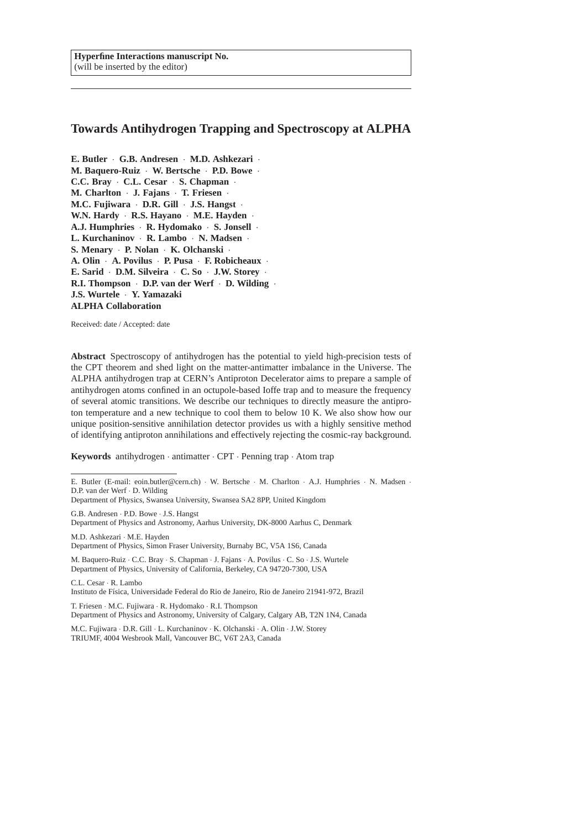**Hyperfine Interactions manuscript No.** (will be inserted by the editor)

# **Towards Antihydrogen Trapping and Spectroscopy at ALPHA**

**E. Butler** · **G.B. Andresen** · **M.D. Ashkezari** · **M. Baquero-Ruiz** · **W. Bertsche** · **P.D. Bowe** · **C.C. Bray** · **C.L. Cesar** · **S. Chapman** · **M. Charlton** · **J. Fajans** · **T. Friesen** · **M.C. Fujiwara** · **D.R. Gill** · **J.S. Hangst** · **W.N. Hardy** · **R.S. Hayano** · **M.E. Hayden** · **A.J. Humphries** · **R. Hydomako** · **S. Jonsell** · **L. Kurchaninov** · **R. Lambo** · **N. Madsen** · **S. Menary** · **P. Nolan** · **K. Olchanski** · **A. Olin** · **A. Povilus** · **P. Pusa** · **F. Robicheaux** · **E. Sarid** · **D.M. Silveira** · **C. So** · **J.W. Storey** · **R.I. Thompson** · **D.P. van der Werf** · **D. Wilding** · **J.S. Wurtele** · **Y. Yamazaki ALPHA Collaboration**

Received: date / Accepted: date

**Abstract** Spectroscopy of antihydrogen has the potential to yield high-precision tests of the CPT theorem and shed light on the matter-antimatter imbalance in the Universe. The ALPHA antihydrogen trap at CERN's Antiproton Decelerator aims to prepare a sample of antihydrogen atoms confined in an octupole-based Ioffe trap and to measure the frequency of several atomic transitions. We describe our techniques to directly measure the antiproton temperature and a new technique to cool them to below 10 K. We also show how our unique position-sensitive annihilation detector provides us with a highly sensitive method of identifying antiproton annihilations and effectively rejecting the cosmic-ray background.

**Keywords** antihydrogen · antimatter · CPT · Penning trap · Atom trap

G.B. Andresen · P.D. Bowe · J.S. Hangst Department of Physics and Astronomy, Aarhus University, DK-8000 Aarhus C, Denmark

M.D. Ashkezari · M.E. Hayden Department of Physics, Simon Fraser University, Burnaby BC, V5A 1S6, Canada

M. Baquero-Ruiz · C.C. Bray · S. Chapman · J. Fajans · A. Povilus · C. So · J.S. Wurtele Department of Physics, University of California, Berkeley, CA 94720-7300, USA

C.L. Cesar · R. Lambo

Instituto de Física, Universidade Federal do Rio de Janeiro, Rio de Janeiro 21941-972, Brazil

T. Friesen · M.C. Fujiwara · R. Hydomako · R.I. Thompson

Department of Physics and Astronomy, University of Calgary, Calgary AB, T2N 1N4, Canada

M.C. Fujiwara · D.R. Gill · L. Kurchaninov · K. Olchanski · A. Olin · J.W. Storey TRIUMF, 4004 Wesbrook Mall, Vancouver BC, V6T 2A3, Canada

E. Butler (E-mail: eoin.butler@cern.ch) · W. Bertsche · M. Charlton · A.J. Humphries · N. Madsen · D.P. van der Werf · D. Wilding

Department of Physics, Swansea University, Swansea SA2 8PP, United Kingdom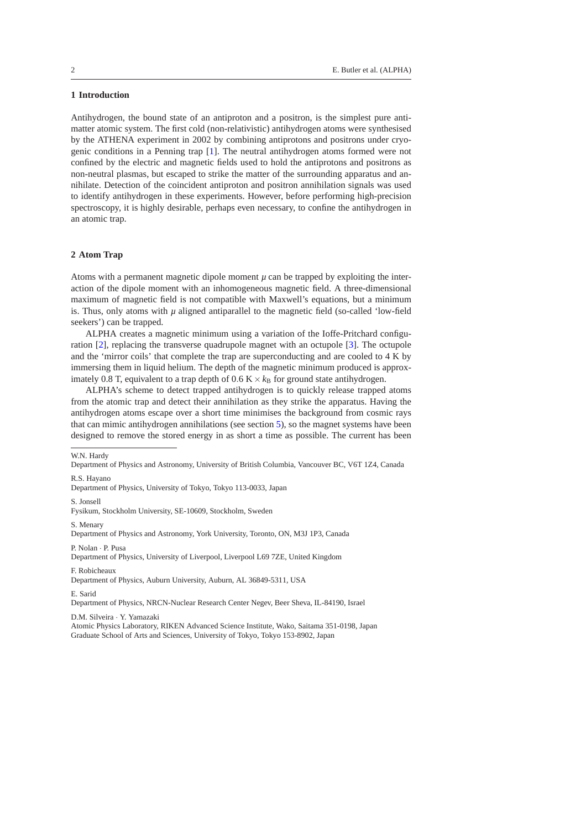## **1 Introduction**

Antihydrogen, the bound state of an antiproton and a positron, is the simplest pure antimatter atomic system. The first cold (non-relativistic) antihydrogen atoms were synthesised by the ATHENA experiment in 2002 by combining antiprotons and positrons under cryogenic conditions in a Penning trap [\[1](#page-8-0)]. The neutral antihydrogen atoms formed were not confined by the electric and magnetic fields used to hold the antiprotons and positrons as non-neutral plasmas, but escaped to strike the matter of the surrounding apparatus and annihilate. Detection of the coincident antiproton and positron annihilation signals was used to identify antihydrogen in these experiments. However, before performing high-precision spectroscopy, it is highly desirable, perhaps even necessary, to confine the antihydrogen in an atomic trap.

### **2 Atom Trap**

Atoms with a permanent magnetic dipole moment  $\mu$  can be trapped by exploiting the interaction of the dipole moment with an inhomogeneous magnetic field. A three-dimensional maximum of magnetic field is not compatible with Maxwell's equations, but a minimum is. Thus, only atoms with  $\mu$  aligned antiparallel to the magnetic field (so-called 'low-field seekers') can be trapped.

ALPHA creates a magnetic minimum using a variation of the Ioffe-Pritchard configuration [\[2\]](#page-8-1), replacing the transverse quadrupole magnet with an octupole [\[3\]](#page-8-2). The octupole and the 'mirror coils' that complete the trap are superconducting and are cooled to 4 K by immersing them in liquid helium. The depth of the magnetic minimum produced is approximately 0.8 T, equivalent to a trap depth of  $0.6 K \times k_B$  for ground state antihydrogen.

ALPHA's scheme to detect trapped antihydrogen is to quickly release trapped atoms from the atomic trap and detect their annihilation as they strike the apparatus. Having the antihydrogen atoms escape over a short time minimises the background from cosmic rays that can mimic antihydrogen annihilations (see section [5\)](#page-6-0), so the magnet systems have been designed to remove the stored energy in as short a time as possible. The current has been

W.N. Hardy

Department of Physics and Astronomy, University of British Columbia, Vancouver BC, V6T 1Z4, Canada

R.S. Hayano

Department of Physics, University of Tokyo, Tokyo 113-0033, Japan

S. Jonsell

Fysikum, Stockholm University, SE-10609, Stockholm, Sweden

S. Menary

Department of Physics and Astronomy, York University, Toronto, ON, M3J 1P3, Canada

P. Nolan · P. Pusa

Department of Physics, University of Liverpool, Liverpool L69 7ZE, United Kingdom

F. Robicheaux

Department of Physics, Auburn University, Auburn, AL 36849-5311, USA

E. Sarid

Department of Physics, NRCN-Nuclear Research Center Negev, Beer Sheva, IL-84190, Israel

D.M. Silveira · Y. Yamazaki

Atomic Physics Laboratory, RIKEN Advanced Science Institute, Wako, Saitama 351-0198, Japan Graduate School of Arts and Sciences, University of Tokyo, Tokyo 153-8902, Japan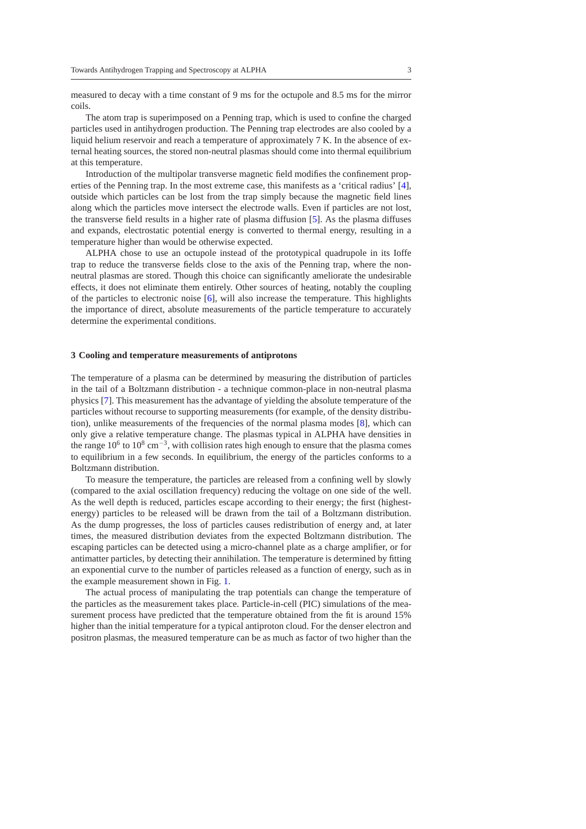measured to decay with a time constant of 9 ms for the octupole and 8.5 ms for the mirror coils.

The atom trap is superimposed on a Penning trap, which is used to confine the charged particles used in antihydrogen production. The Penning trap electrodes are also cooled by a liquid helium reservoir and reach a temperature of approximately 7 K. In the absence of external heating sources, the stored non-neutral plasmas should come into thermal equilibrium at this temperature.

Introduction of the multipolar transverse magnetic field modifies the confinement properties of the Penning trap. In the most extreme case, this manifests as a 'critical radius' [\[4](#page-8-3)], outside which particles can be lost from the trap simply because the magnetic field lines along which the particles move intersect the electrode walls. Even if particles are not lost, the transverse field results in a higher rate of plasma diffusion [\[5\]](#page-8-4). As the plasma diffuses and expands, electrostatic potential energy is converted to thermal energy, resulting in a temperature higher than would be otherwise expected.

ALPHA chose to use an octupole instead of the prototypical quadrupole in its Ioffe trap to reduce the transverse fields close to the axis of the Penning trap, where the nonneutral plasmas are stored. Though this choice can significantly ameliorate the undesirable effects, it does not eliminate them entirely. Other sources of heating, notably the coupling of the particles to electronic noise [\[6](#page-8-5)], will also increase the temperature. This highlights the importance of direct, absolute measurements of the particle temperature to accurately determine the experimental conditions.

#### **3 Cooling and temperature measurements of antiprotons**

The temperature of a plasma can be determined by measuring the distribution of particles in the tail of a Boltzmann distribution - a technique common-place in non-neutral plasma physics [\[7](#page-8-6)]. This measurement has the advantage of yielding the absolute temperature of the particles without recourse to supporting measurements (for example, of the density distribution), unlike measurements of the frequencies of the normal plasma modes [\[8](#page-8-7)], which can only give a relative temperature change. The plasmas typical in ALPHA have densities in the range  $10^6$  to  $10^8$  cm<sup>-3</sup>, with collision rates high enough to ensure that the plasma comes to equilibrium in a few seconds. In equilibrium, the energy of the particles conforms to a Boltzmann distribution.

To measure the temperature, the particles are released from a confining well by slowly (compared to the axial oscillation frequency) reducing the voltage on one side of the well. As the well depth is reduced, particles escape according to their energy; the first (highestenergy) particles to be released will be drawn from the tail of a Boltzmann distribution. As the dump progresses, the loss of particles causes redistribution of energy and, at later times, the measured distribution deviates from the expected Boltzmann distribution. The escaping particles can be detected using a micro-channel plate as a charge amplifier, or for antimatter particles, by detecting their annihilation. The temperature is determined by fitting an exponential curve to the number of particles released as a function of energy, such as in the example measurement shown in Fig. [1.](#page-3-0)

The actual process of manipulating the trap potentials can change the temperature of the particles as the measurement takes place. Particle-in-cell (PIC) simulations of the measurement process have predicted that the temperature obtained from the fit is around 15% higher than the initial temperature for a typical antiproton cloud. For the denser electron and positron plasmas, the measured temperature can be as much as factor of two higher than the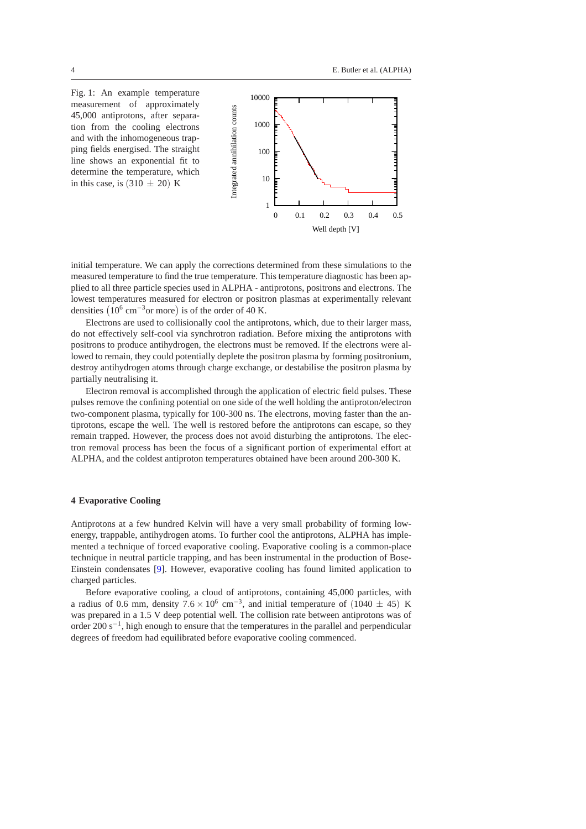<span id="page-3-0"></span>Fig. 1: An example temperature measurement of approximately 45,000 antiprotons, after separation from the cooling electrons and with the inhomogeneous trapping fields energised. The straight line shows an exponential fit to determine the temperature, which in this case, is  $(310 \pm 20)$  K



initial temperature. We can apply the corrections determined from these simulations to the measured temperature to find the true temperature. This temperature diagnostic has been applied to all three particle species used in ALPHA - antiprotons, positrons and electrons. The lowest temperatures measured for electron or positron plasmas at experimentally relevant densities  $(10^6 \text{ cm}^{-3} \text{ or more})$  is of the order of 40 K.

Electrons are used to collisionally cool the antiprotons, which, due to their larger mass, do not effectively self-cool via synchrotron radiation. Before mixing the antiprotons with positrons to produce antihydrogen, the electrons must be removed. If the electrons were allowed to remain, they could potentially deplete the positron plasma by forming positronium, destroy antihydrogen atoms through charge exchange, or destabilise the positron plasma by partially neutralising it.

Electron removal is accomplished through the application of electric field pulses. These pulses remove the confining potential on one side of the well holding the antiproton/electron two-component plasma, typically for 100-300 ns. The electrons, moving faster than the antiprotons, escape the well. The well is restored before the antiprotons can escape, so they remain trapped. However, the process does not avoid disturbing the antiprotons. The electron removal process has been the focus of a significant portion of experimental effort at ALPHA, and the coldest antiproton temperatures obtained have been around 200-300 K.

## **4 Evaporative Cooling**

Antiprotons at a few hundred Kelvin will have a very small probability of forming lowenergy, trappable, antihydrogen atoms. To further cool the antiprotons, ALPHA has implemented a technique of forced evaporative cooling. Evaporative cooling is a common-place technique in neutral particle trapping, and has been instrumental in the production of Bose-Einstein condensates [\[9](#page-8-8)]. However, evaporative cooling has found limited application to charged particles.

Before evaporative cooling, a cloud of antiprotons, containing 45,000 particles, with a radius of 0.6 mm, density  $7.6 \times 10^6$  cm<sup>-3</sup>, and initial temperature of (1040 ± 45) K was prepared in a 1.5 V deep potential well. The collision rate between antiprotons was of order 200 s<sup>-1</sup>, high enough to ensure that the temperatures in the parallel and perpendicular degrees of freedom had equilibrated before evaporative cooling commenced.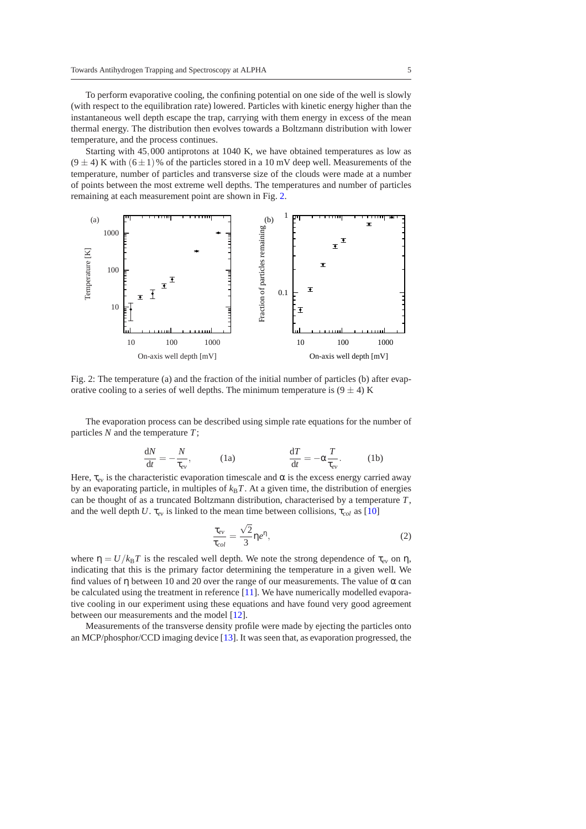To perform evaporative cooling, the confining potential on one side of the well is slowly (with respect to the equilibration rate) lowered. Particles with kinetic energy higher than the instantaneous well depth escape the trap, carrying with them energy in excess of the mean thermal energy. The distribution then evolves towards a Boltzmann distribution with lower temperature, and the process continues.

Starting with 45,000 antiprotons at 1040 K, we have obtained temperatures as low as  $(9 \pm 4)$  K with  $(6 \pm 1)$ % of the particles stored in a 10 mV deep well. Measurements of the temperature, number of particles and transverse size of the clouds were made at a number of points between the most extreme well depths. The temperatures and number of particles remaining at each measurement point are shown in Fig. [2.](#page-4-0)

<span id="page-4-0"></span>

Fig. 2: The temperature (a) and the fraction of the initial number of particles (b) after evaporative cooling to a series of well depths. The minimum temperature is  $(9 \pm 4)$  K

The evaporation process can be described using simple rate equations for the number of particles *N* and the temperature *T*;

$$
\frac{dN}{dt} = -\frac{N}{\tau_{ev}}, \qquad (1a) \qquad \frac{dT}{dt} = -\alpha \frac{T}{\tau_{ev}}.
$$
 (1b)

Here,  $\tau_{ev}$  is the characteristic evaporation timescale and  $\alpha$  is the excess energy carried away by an evaporating particle, in multiples of  $k_B T$ . At a given time, the distribution of energies can be thought of as a truncated Boltzmann distribution, characterised by a temperature *T*, and the well depth *U*.  $\tau_{ev}$  is linked to the mean time between collisions,  $\tau_{col}$  as [\[10](#page-8-9)]

<span id="page-4-1"></span>
$$
\frac{\tau_{ev}}{\tau_{col}} = \frac{\sqrt{2}}{3} \eta e^{\eta},\tag{2}
$$

where  $\eta = U/k_BT$  is the rescaled well depth. We note the strong dependence of  $\tau_{ev}$  on  $\eta$ , indicating that this is the primary factor determining the temperature in a given well. We find values of  $\eta$  between 10 and 20 over the range of our measurements. The value of  $\alpha$  can be calculated using the treatment in reference [\[11\]](#page-8-10). We have numerically modelled evaporative cooling in our experiment using these equations and have found very good agreement between our measurements and the model [\[12](#page-8-11)].

Measurements of the transverse density profile were made by ejecting the particles onto an MCP/phosphor/CCD imaging device [\[13](#page-8-12)]. It was seen that, as evaporation progressed, the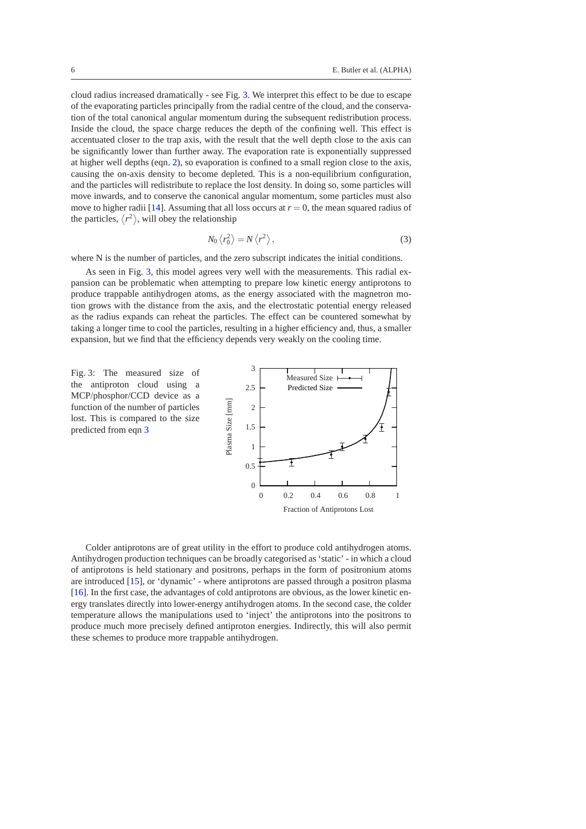cloud radius increased dramatically - see Fig. [3.](#page-5-0) We interpret this effect to be due to escape of the evaporating particles principally from the radial centre of the cloud, and the conservation of the total canonical angular momentum during the subsequent redistribution process. Inside the cloud, the space charge reduces the depth of the confining well. This effect is accentuated closer to the trap axis, with the result that the well depth close to the axis can be significantly lower than further away. The evaporation rate is exponentially suppressed at higher well depths (eqn. [2\)](#page-4-1), so evaporation is confined to a small region close to the axis, causing the on-axis density to become depleted. This is a non-equilibrium configuration, and the particles will redistribute to replace the lost density. In doing so, some particles will move inwards, and to conserve the canonical angular momentum, some particles must also move to higher radii [\[14\]](#page-9-0). Assuming that all loss occurs at  $r = 0$ , the mean squared radius of the particles,  $\langle r^2 \rangle$ , will obey the relationship

<span id="page-5-1"></span>
$$
N_0 \left\langle r_0^2 \right\rangle = N \left\langle r^2 \right\rangle,\tag{3}
$$

where N is the number of particles, and the zero subscript indicates the initial conditions.

As seen in Fig. [3,](#page-5-0) this model agrees very well with the measurements. This radial expansion can be problematic when attempting to prepare low kinetic energy antiprotons to produce trappable antihydrogen atoms, as the energy associated with the magnetron motion grows with the distance from the axis, and the electrostatic potential energy released as the radius expands can reheat the particles. The effect can be countered somewhat by taking a longer time to cool the particles, resulting in a higher efficiency and, thus, a smaller expansion, but we find that the efficiency depends very weakly on the cooling time.

<span id="page-5-0"></span>Fig. 3: The measured size of the antiproton cloud using a MCP/phosphor/CCD device as a function of the number of particles lost. This is compared to the size predicted from eqn [3](#page-5-1)



Colder antiprotons are of great utility in the effort to produce cold antihydrogen atoms. Antihydrogen production techniques can be broadly categorised as 'static' - in which a cloud of antiprotons is held stationary and positrons, perhaps in the form of positronium atoms are introduced [\[15\]](#page-9-1), or 'dynamic' - where antiprotons are passed through a positron plasma [\[16\]](#page-9-2). In the first case, the advantages of cold antiprotons are obvious, as the lower kinetic energy translates directly into lower-energy antihydrogen atoms. In the second case, the colder temperature allows the manipulations used to 'inject' the antiprotons into the positrons to produce much more precisely defined antiproton energies. Indirectly, this will also permit these schemes to produce more trappable antihydrogen.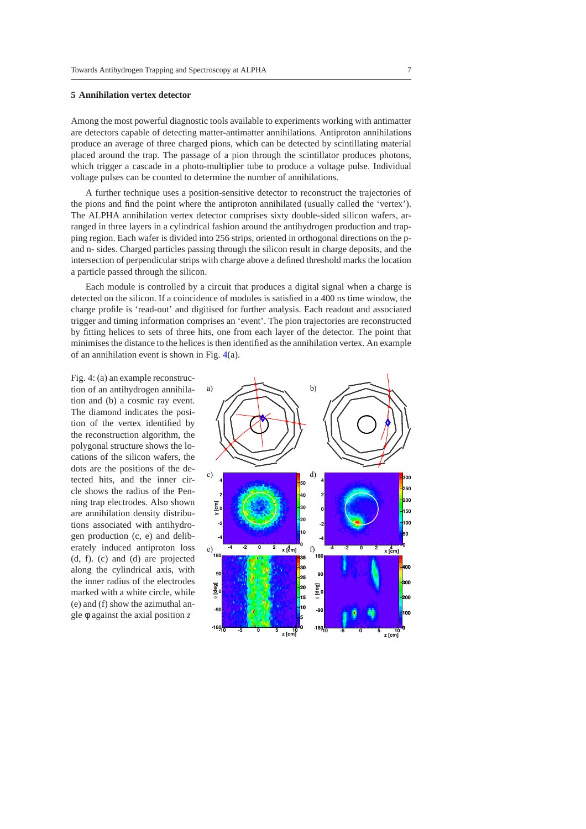### <span id="page-6-0"></span>**5 Annihilation vertex detector**

Among the most powerful diagnostic tools available to experiments working with antimatter are detectors capable of detecting matter-antimatter annihilations. Antiproton annihilations produce an average of three charged pions, which can be detected by scintillating material placed around the trap. The passage of a pion through the scintillator produces photons, which trigger a cascade in a photo-multiplier tube to produce a voltage pulse. Individual voltage pulses can be counted to determine the number of annihilations.

A further technique uses a position-sensitive detector to reconstruct the trajectories of the pions and find the point where the antiproton annihilated (usually called the 'vertex'). The ALPHA annihilation vertex detector comprises sixty double-sided silicon wafers, arranged in three layers in a cylindrical fashion around the antihydrogen production and trapping region. Each wafer is divided into 256 strips, oriented in orthogonal directions on the pand n- sides. Charged particles passing through the silicon result in charge deposits, and the intersection of perpendicular strips with charge above a defined threshold marks the location a particle passed through the silicon.

Each module is controlled by a circuit that produces a digital signal when a charge is detected on the silicon. If a coincidence of modules is satisfied in a 400 ns time window, the charge profile is 'read-out' and digitised for further analysis. Each readout and associated trigger and timing information comprises an 'event'. The pion trajectories are reconstructed by fitting helices to sets of three hits, one from each layer of the detector. The point that minimises the distance to the helices is then identified as the annihilation vertex. An example of an annihilation event is shown in Fig. [4\(](#page-6-1)a).

<span id="page-6-1"></span>Fig. 4: (a) an example reconstruction of an antihydrogen annihilation and (b) a cosmic ray event. The diamond indicates the position of the vertex identified by the reconstruction algorithm, the polygonal structure shows the locations of the silicon wafers, the dots are the positions of the detected hits, and the inner circle shows the radius of the Penning trap electrodes. Also shown are annihilation density distributions associated with antihydrogen production (c, e) and deliberately induced antiproton loss (d, f). (c) and (d) are projected along the cylindrical axis, with the inner radius of the electrodes marked with a white circle, while (e) and (f) show the azimuthal angle φ against the axial position *z*

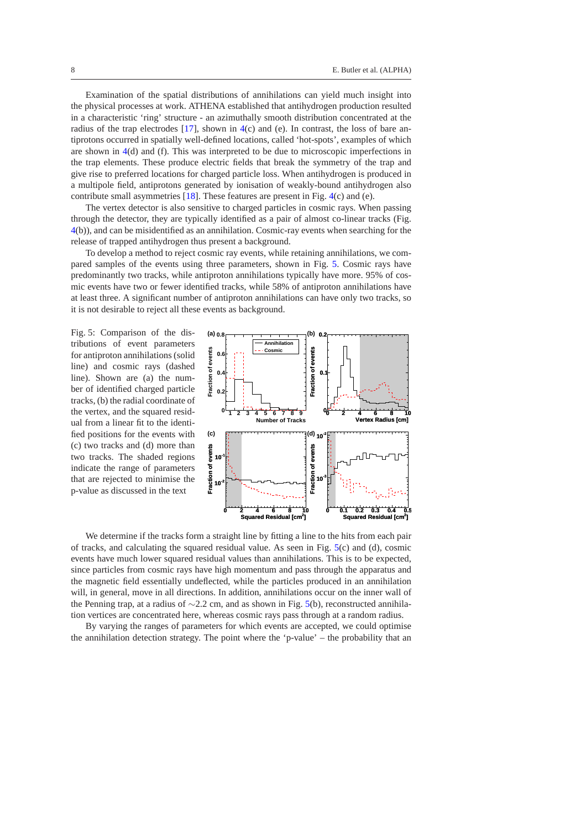Examination of the spatial distributions of annihilations can yield much insight into the physical processes at work. ATHENA established that antihydrogen production resulted in a characteristic 'ring' structure - an azimuthally smooth distribution concentrated at the radius of the trap electrodes  $[17]$ , shown in  $4(c)$  $4(c)$  and (e). In contrast, the loss of bare antiprotons occurred in spatially well-defined locations, called 'hot-spots', examples of which are shown in [4\(](#page-6-1)d) and (f). This was interpreted to be due to microscopic imperfections in the trap elements. These produce electric fields that break the symmetry of the trap and give rise to preferred locations for charged particle loss. When antihydrogen is produced in a multipole field, antiprotons generated by ionisation of weakly-bound antihydrogen also contribute small asymmetries [\[18](#page-9-4)]. These features are present in Fig. [4\(](#page-6-1)c) and (e).

The vertex detector is also sensitive to charged particles in cosmic rays. When passing through the detector, they are typically identified as a pair of almost co-linear tracks (Fig. [4\(](#page-6-1)b)), and can be misidentified as an annihilation. Cosmic-ray events when searching for the release of trapped antihydrogen thus present a background.

To develop a method to reject cosmic ray events, while retaining annihilations, we compared samples of the events using three parameters, shown in Fig. [5.](#page-7-0) Cosmic rays have predominantly two tracks, while antiproton annihilations typically have more. 95% of cosmic events have two or fewer identified tracks, while 58% of antiproton annihilations have at least three. A significant number of antiproton annihilations can have only two tracks, so it is not desirable to reject all these events as background.

<span id="page-7-0"></span>Fig. 5: Comparison of the distributions of event parameters for antiproton annihilations (solid line) and cosmic rays (dashed line). Shown are (a) the number of identified charged particle tracks, (b) the radial coordinate of the vertex, and the squared residual from a linear fit to the identified positions for the events with (c) two tracks and (d) more than two tracks. The shaded regions indicate the range of parameters that are rejected to minimise the p-value as discussed in the text



We determine if the tracks form a straight line by fitting a line to the hits from each pair of tracks, and calculating the squared residual value. As seen in Fig.  $5(c)$  $5(c)$  and (d), cosmic events have much lower squared residual values than annihilations. This is to be expected, since particles from cosmic rays have high momentum and pass through the apparatus and the magnetic field essentially undeflected, while the particles produced in an annihilation will, in general, move in all directions. In addition, annihilations occur on the inner wall of the Penning trap, at a radius of ∼2.2 cm, and as shown in Fig. [5\(](#page-7-0)b), reconstructed annihilation vertices are concentrated here, whereas cosmic rays pass through at a random radius.

By varying the ranges of parameters for which events are accepted, we could optimise the annihilation detection strategy. The point where the 'p-value' – the probability that an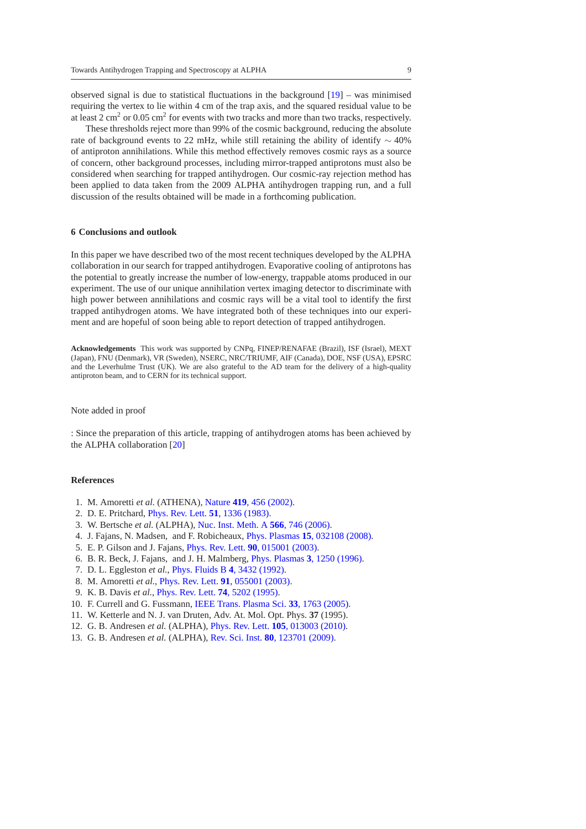observed signal is due to statistical fluctuations in the background  $[19]$  – was minimised requiring the vertex to lie within 4 cm of the trap axis, and the squared residual value to be at least 2 cm<sup>2</sup> or 0.05 cm<sup>2</sup> for events with two tracks and more than two tracks, respectively.

These thresholds reject more than 99% of the cosmic background, reducing the absolute rate of background events to 22 mHz, while still retaining the ability of identify  $\sim$  40% of antiproton annihilations. While this method effectively removes cosmic rays as a source of concern, other background processes, including mirror-trapped antiprotons must also be considered when searching for trapped antihydrogen. Our cosmic-ray rejection method has been applied to data taken from the 2009 ALPHA antihydrogen trapping run, and a full discussion of the results obtained will be made in a forthcoming publication.

### **6 Conclusions and outlook**

In this paper we have described two of the most recent techniques developed by the ALPHA collaboration in our search for trapped antihydrogen. Evaporative cooling of antiprotons has the potential to greatly increase the number of low-energy, trappable atoms produced in our experiment. The use of our unique annihilation vertex imaging detector to discriminate with high power between annihilations and cosmic rays will be a vital tool to identify the first trapped antihydrogen atoms. We have integrated both of these techniques into our experiment and are hopeful of soon being able to report detection of trapped antihydrogen.

**Acknowledgements** This work was supported by CNPq, FINEP/RENAFAE (Brazil), ISF (Israel), MEXT (Japan), FNU (Denmark), VR (Sweden), NSERC, NRC/TRIUMF, AIF (Canada), DOE, NSF (USA), EPSRC and the Leverhulme Trust (UK). We are also grateful to the AD team for the delivery of a high-quality antiproton beam, and to CERN for its technical support.

#### Note added in proof

: Since the preparation of this article, trapping of antihydrogen atoms has been achieved by the ALPHA collaboration [\[20\]](#page-9-6)

### **References**

- <span id="page-8-0"></span>1. M. Amoretti *et al.* (ATHENA), Nature **419**[, 456 \(2002\).](http://dx.doi.org/10.1038/nature01096)
- <span id="page-8-1"></span>2. D. E. Pritchard, [Phys. Rev. Lett.](http://dx.doi.org/10.1103/PhysRevLett.51.1336) **51**, 1336 (1983).
- <span id="page-8-2"></span>3. W. Bertsche *et al.* (ALPHA), [Nuc. Inst. Meth. A](http://dx.doi.org/10.1016/j.nima.2006.07.012) **566**, 746 (2006).
- <span id="page-8-3"></span>4. J. Fajans, N. Madsen, and F. Robicheaux, Phys. Plasmas **15**[, 032108 \(2008\).](http://dx.doi.org/10.1063/1.2899306)
- <span id="page-8-4"></span>5. E. P. Gilson and J. Fajans, Phys. Rev. Lett. **90**[, 015001 \(2003\).](http://dx.doi.org/10.1103/PhysRevLett.90.015001)
- <span id="page-8-5"></span>6. B. R. Beck, J. Fajans, and J. H. Malmberg, [Phys. Plasmas](http://dx.doi.org/10.1063/1.871749) **3**, 1250 (1996).
- <span id="page-8-6"></span>7. D. L. Eggleston *et al.*, [Phys. Fluids B](http://dx.doi.org/10.1063/1.860399) **4**, 3432 (1992).
- <span id="page-8-7"></span>8. M. Amoretti *et al.*, Phys. Rev. Lett. **91**[, 055001 \(2003\).](http://dx.doi.org/10.1103/PhysRevLett.91.055001)
- <span id="page-8-8"></span>9. K. B. Davis *et al.*, [Phys. Rev. Lett.](http://dx.doi.org/10.1103/PhysRevLett.74.5202) **74**, 5202 (1995).
- <span id="page-8-9"></span>10. F. Currell and G. Fussmann, [IEEE Trans. Plasma Sci.](http://dx.doi.org/10.1109/TPS.2005.860072) **33**, 1763 (2005).
- <span id="page-8-10"></span>11. W. Ketterle and N. J. van Druten, Adv. At. Mol. Opt. Phys. **37** (1995).
- <span id="page-8-11"></span>12. G. B. Andresen *et al.* (ALPHA), Phys. Rev. Lett. **105**[, 013003 \(2010\).](http://dx.doi.org/10.1103/PhysRevLett.105.013003)
- <span id="page-8-12"></span>13. G. B. Andresen *et al.* (ALPHA), Rev. Sci. Inst. **80**[, 123701 \(2009\).](http://dx.doi.org/10.1063/1.3266967)